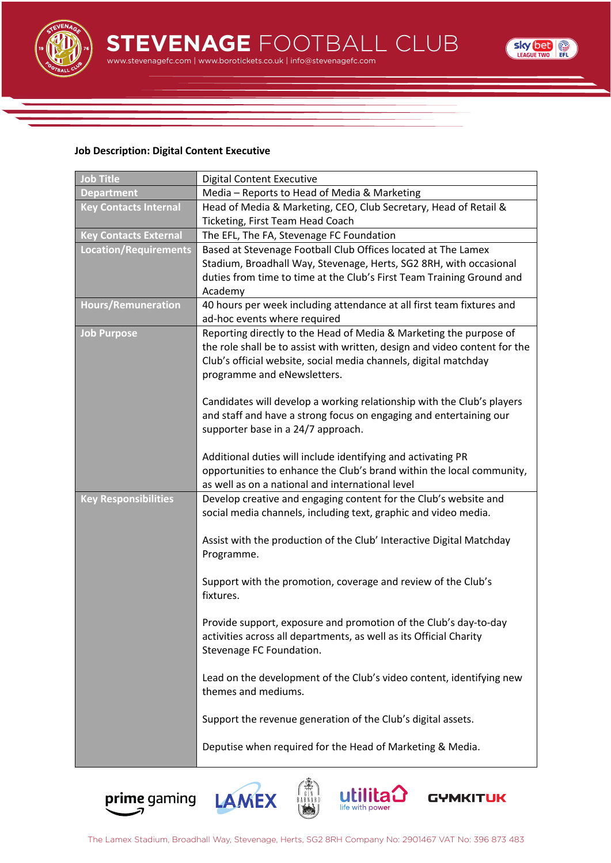

www.stevenagefc.com | www.borotickets.co.uk | info@stevenagefc.com **STEVENAGE** FOOTBALL CLUB



## **Job Description: Digital Content Executive**

| <b>Job Title</b>             | <b>Digital Content Executive</b>                                                                |
|------------------------------|-------------------------------------------------------------------------------------------------|
| <b>Department</b>            | Media - Reports to Head of Media & Marketing                                                    |
| <b>Key Contacts Internal</b> | Head of Media & Marketing, CEO, Club Secretary, Head of Retail &                                |
|                              | Ticketing, First Team Head Coach                                                                |
| <b>Key Contacts External</b> | The EFL, The FA, Stevenage FC Foundation                                                        |
| <b>Location/Requirements</b> | Based at Stevenage Football Club Offices located at The Lamex                                   |
|                              | Stadium, Broadhall Way, Stevenage, Herts, SG2 8RH, with occasional                              |
|                              | duties from time to time at the Club's First Team Training Ground and                           |
|                              | Academy                                                                                         |
| <b>Hours/Remuneration</b>    | 40 hours per week including attendance at all first team fixtures and                           |
|                              | ad-hoc events where required                                                                    |
| <b>Job Purpose</b>           | Reporting directly to the Head of Media & Marketing the purpose of                              |
|                              | the role shall be to assist with written, design and video content for the                      |
|                              | Club's official website, social media channels, digital matchday<br>programme and eNewsletters. |
|                              |                                                                                                 |
|                              | Candidates will develop a working relationship with the Club's players                          |
|                              | and staff and have a strong focus on engaging and entertaining our                              |
|                              | supporter base in a 24/7 approach.                                                              |
|                              |                                                                                                 |
|                              | Additional duties will include identifying and activating PR                                    |
|                              | opportunities to enhance the Club's brand within the local community,                           |
|                              | as well as on a national and international level                                                |
| <b>Key Responsibilities</b>  | Develop creative and engaging content for the Club's website and                                |
|                              | social media channels, including text, graphic and video media.                                 |
|                              |                                                                                                 |
|                              | Assist with the production of the Club' Interactive Digital Matchday                            |
|                              | Programme.                                                                                      |
|                              | Support with the promotion, coverage and review of the Club's                                   |
|                              | fixtures.                                                                                       |
|                              |                                                                                                 |
|                              | Provide support, exposure and promotion of the Club's day-to-day                                |
|                              | activities across all departments, as well as its Official Charity                              |
|                              | Stevenage FC Foundation.                                                                        |
|                              |                                                                                                 |
|                              | Lead on the development of the Club's video content, identifying new                            |
|                              | themes and mediums.                                                                             |
|                              |                                                                                                 |
|                              | Support the revenue generation of the Club's digital assets.                                    |
|                              | Deputise when required for the Head of Marketing & Media.                                       |
|                              |                                                                                                 |
|                              |                                                                                                 |







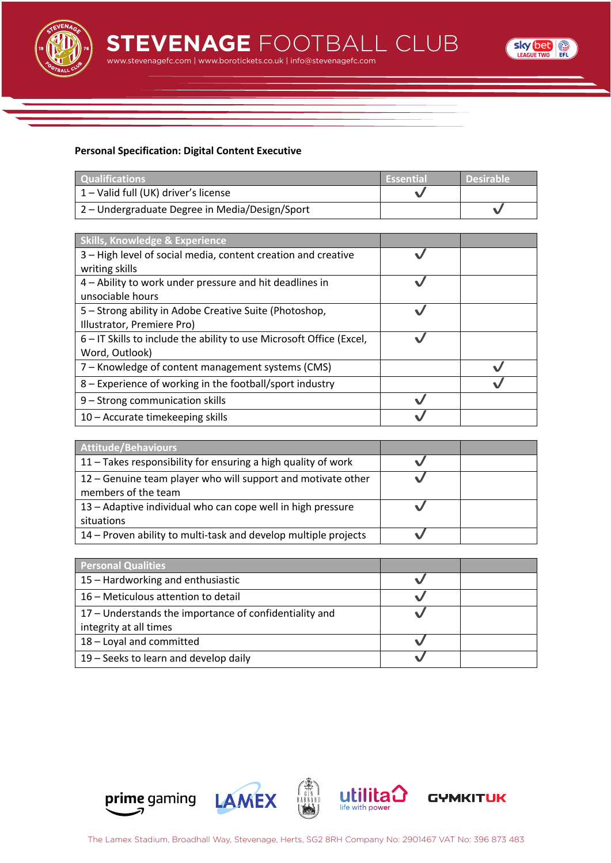

www.stevenagefc.com | www.borotickets.co.uk | info@stevenagefc.com **STEVENAGE** FOOTBALL CLUB



## **Personal Specification: Digital Content Executive**

| <b>Oualifications</b>                          | <b>Essential</b> | <b>Desirable</b> |
|------------------------------------------------|------------------|------------------|
| 1 – Valid full (UK) driver's license           |                  |                  |
| 2 – Undergraduate Degree in Media/Design/Sport |                  |                  |

| <b>Skills, Knowledge &amp; Experience</b>                            |  |
|----------------------------------------------------------------------|--|
| 3 - High level of social media, content creation and creative        |  |
| writing skills                                                       |  |
| 4 – Ability to work under pressure and hit deadlines in              |  |
| unsociable hours                                                     |  |
| 5 - Strong ability in Adobe Creative Suite (Photoshop,               |  |
| Illustrator, Premiere Pro)                                           |  |
| 6 – IT Skills to include the ability to use Microsoft Office (Excel, |  |
| Word, Outlook)                                                       |  |
| 7 – Knowledge of content management systems (CMS)                    |  |
| 8 – Experience of working in the football/sport industry             |  |
| 9 - Strong communication skills                                      |  |
| 10 – Accurate timekeeping skills                                     |  |

| Attitude/Behaviours                                             |  |
|-----------------------------------------------------------------|--|
| 11 – Takes responsibility for ensuring a high quality of work   |  |
| 12 – Genuine team player who will support and motivate other    |  |
| members of the team                                             |  |
| 13 - Adaptive individual who can cope well in high pressure     |  |
| situations                                                      |  |
| 14 – Proven ability to multi-task and develop multiple projects |  |

| <b>Personal Qualities</b>                              |  |
|--------------------------------------------------------|--|
| 15 – Hardworking and enthusiastic                      |  |
| 16 – Meticulous attention to detail                    |  |
| 17 - Understands the importance of confidentiality and |  |
| integrity at all times                                 |  |
| 18 - Loyal and committed                               |  |
| 19 - Seeks to learn and develop daily                  |  |